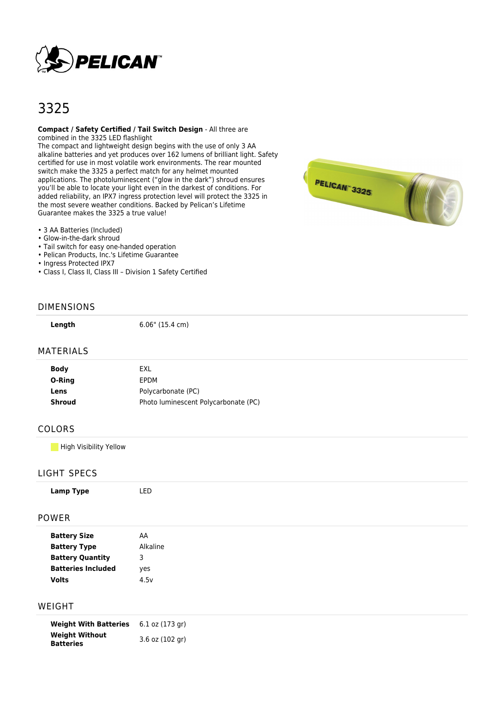

# 3325

#### **Compact / Safety Certified / Tail Switch Design** - All three are combined in the 3325 LED flashlight

The compact and lightweight design begins with the use of only 3 AA alkaline batteries and yet produces over 162 lumens of brilliant light. Safety certified for use in most volatile work environments. The rear mounted switch make the 3325 a perfect match for any helmet mounted applications. The photoluminescent ("glow in the dark") shroud ensures you'll be able to locate your light even in the darkest of conditions. For added reliability, an IPX7 ingress protection level will protect the 3325 in the most severe weather conditions. Backed by Pelican's Lifetime Guarantee makes the 3325 a true value!

• 3 AA Batteries (Included)

- Glow-in-the-dark shroud
- Tail switch for easy one-handed operation
- Pelican Products, Inc.'s Lifetime Guarantee
- Ingress Protected IPX7
- Class I, Class II, Class III Division 1 Safety Certified

#### DIMENSIONS

**Length** 6.06" (15.4 cm)

#### MATERIALS

| <b>Body</b> | <b>FXI</b>                           |
|-------------|--------------------------------------|
| O-Ring      | <b>FPDM</b>                          |
| Lens        | Polycarbonate (PC)                   |
| Shroud      | Photo luminescent Polycarbonate (PC) |
|             |                                      |

#### COLORS

**High Visibility Yellow** 

#### LIGHT SPECS

| Lamp Type           | LED      |  |  |
|---------------------|----------|--|--|
| <b>POWER</b>        |          |  |  |
| <b>Battery Size</b> | AA       |  |  |
| <b>Battery Type</b> | Alkaline |  |  |

| <b>Battery Type</b>       | Alkalin |
|---------------------------|---------|
| <b>Battery Quantity</b>   | З       |
| <b>Batteries Included</b> | yes     |
| <b>Volts</b>              | 4.5v    |
|                           |         |

### WEIGHT

**Weight With Batteries** 6.1 oz (173 gr) **Weight Without Batteries** 3.6 oz (102 gr)